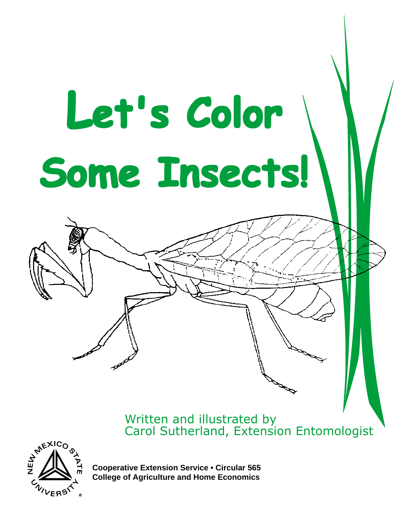## **Let's Color et's Color et's Color Some Insects! Some Insects! Some Insects!**

Written and illustrated by Carol Sutherland, Extension Entomologist



**Cooperative Extension Service • Circular 565 College of Agriculture and Home Economics**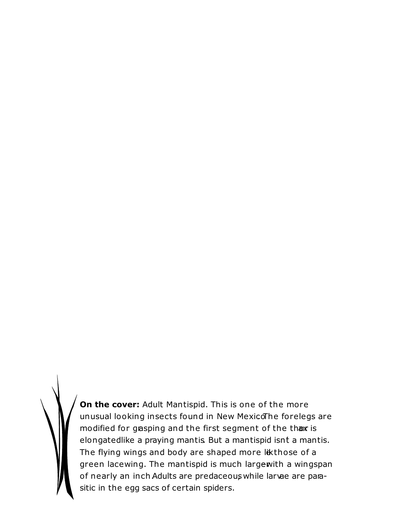**On the cover:** Adult Mantispid. This is one of the more unusual looking insects found in New MexicoThe forelegs are modified for grasping and the first segment of the thax is elongated like a praying mantis. But a mantispid isnt a mantis. The flying wings and body are shaped more likthose of a green lacewing. The mantispid is much largewith a wingspan of nearly an inch Adults are predaceous while larvae are parasitic in the egg sacs of certain spiders.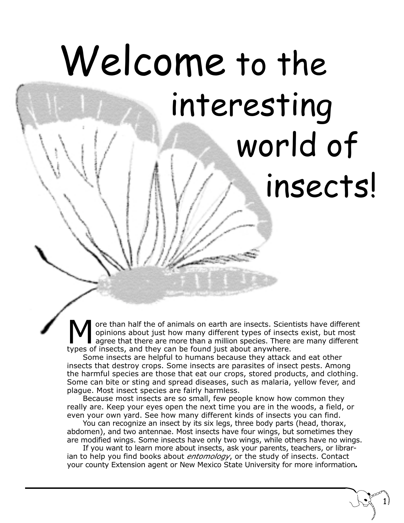## Welcome to the interesting world of insects!

More than half the of animals on earth are insects. Scientists have different<br>opinions about just how many different types of insects exist, but most<br>types of insects, and they can be found just about anywhere opinions about just how many different types of insects exist, but most agree that there are more than a million species. There are many different types of insects, and they can be found just about anywhere.

Some insects are helpful to humans because they attack and eat other insects that destroy crops. Some insects are parasites of insect pests. Among the harmful species are those that eat our crops, stored products, and clothing. Some can bite or sting and spread diseases, such as malaria, yellow fever, and plague. Most insect species are fairly harmless.

Because most insects are so small, few people know how common they really are. Keep your eyes open the next time you are in the woods, a field, or even your own yard. See how many different kinds of insects you can find.

You can recognize an insect by its six legs, three body parts (head, thorax, abdomen), and two antennae. Most insects have four wings, but sometimes they are modified wings. Some insects have only two wings, while others have no wings.

If you want to learn more about insects, ask your parents, teachers, or librarian to help you find books about *entomology*, or the study of insects. Contact your county Extension agent or New Mexico State University for more information*.*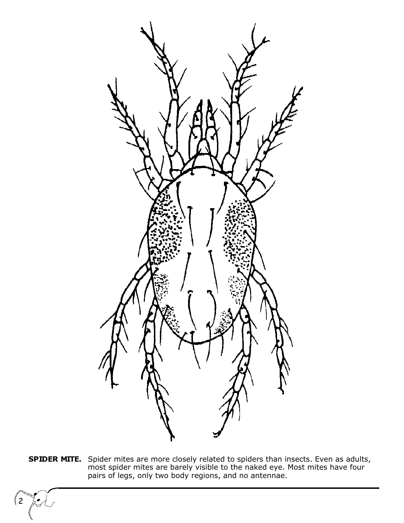

**SPIDER MITE.** Spider mites are more closely related to spiders than insects. Even as adults, most spider mites are barely visible to the naked eye. Most mites have four pairs of legs, only two body regions, and no antennae.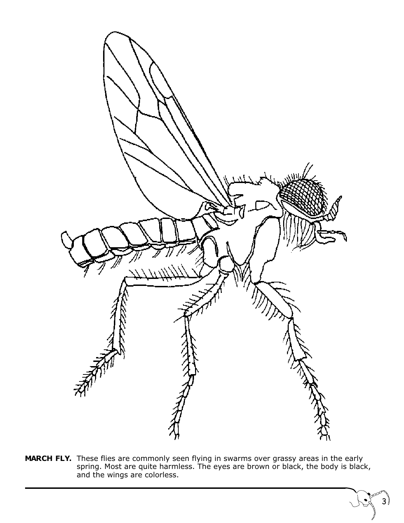

**MARCH FLY.** These flies are commonly seen flying in swarms over grassy areas in the early spring. Most are quite harmless. The eyes are brown or black, the body is black, and the wings are colorless.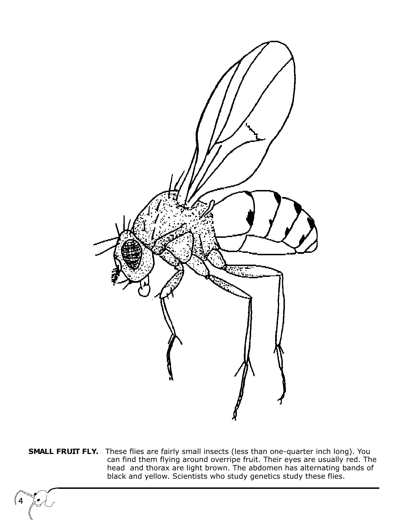

**SMALL FRUIT FLY.** These flies are fairly small insects (less than one-quarter inch long). You can find them flying around overripe fruit. Their eyes are usually red. The head and thorax are light brown. The abdomen has alternating bands of black and yellow. Scientists who study genetics study these flies.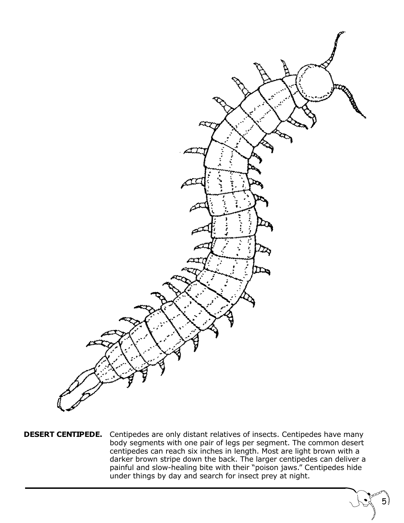

**DESERT CENTIPEDE.** Centipedes are only distant relatives of insects. Centipedes have many body segments with one pair of legs per segment. The common desert centipedes can reach six inches in length. Most are light brown with a darker brown stripe down the back. The larger centipedes can deliver a painful and slow-healing bite with their "poison jaws." Centipedes hide under things by day and search for insect prey at night.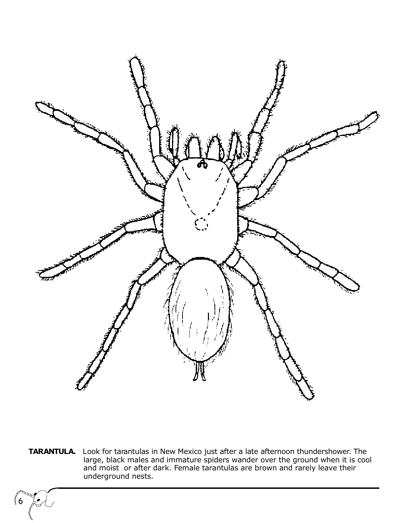

**TARANTULA.** Look for tarantulas in New Mexico just after a late afternoon thundershower. The large, black males and immature spiders wander over the ground when it is cool and moist or after dark. Female tarantulas are brown and rarely leave their underground nests.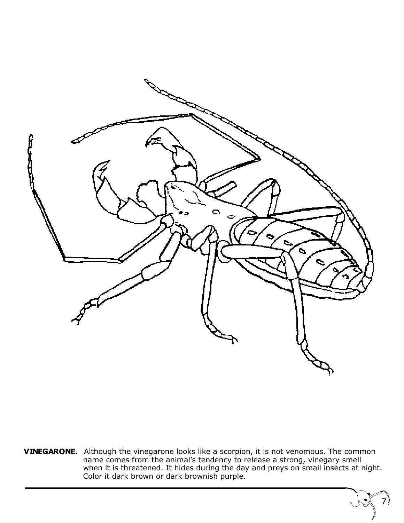

**VINEGARONE.** Although the vinegarone looks like a scorpion, it is not venomous. The common name comes from the animal's tendency to release a strong, vinegary smell when it is threatened. It hides during the day and preys on small insects at night. Color it dark brown or dark brownish purple.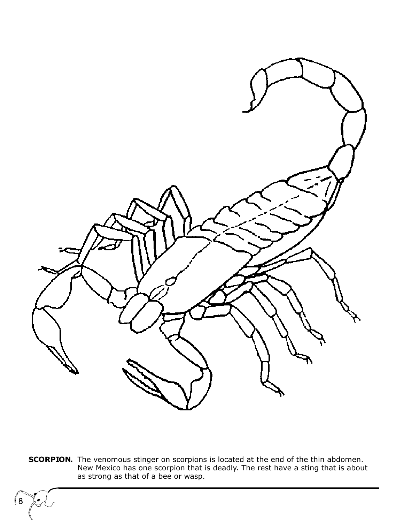

**SCORPION.** The venomous stinger on scorpions is located at the end of the thin abdomen. New Mexico has one scorpion that is deadly. The rest have a sting that is about as strong as that of a bee or wasp.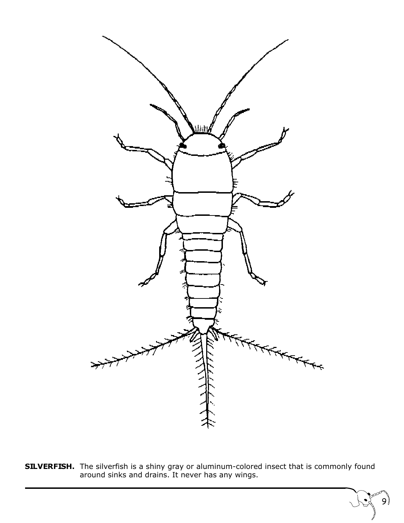

**SILVERFISH.** The silverfish is a shiny gray or aluminum-colored insect that is commonly found around sinks and drains. It never has any wings.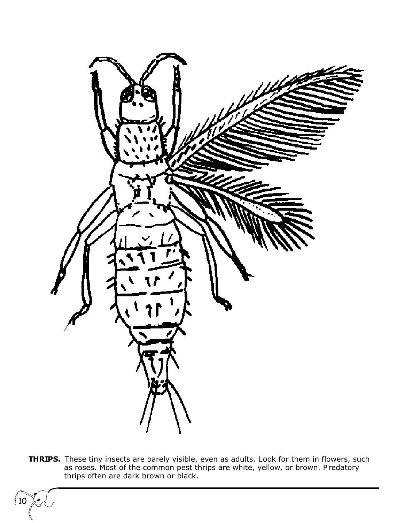

**THRIPS.** These tiny insects are barely visible, even as adults. Look for them in flowers, such as roses. Most of the common pest thrips are white, yellow, or brown. P redatory thrips often are dark brown or black.

 $\langle 10$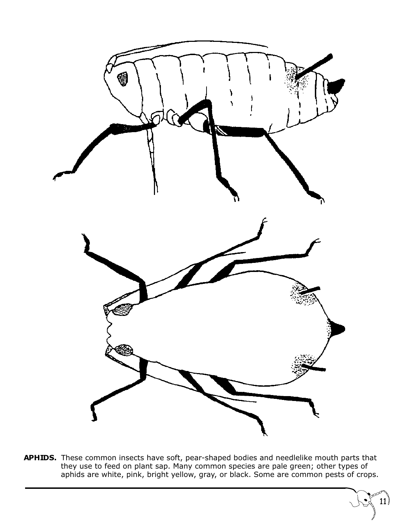

**APHIDS.** These common insects have soft, pear-shaped bodies and needlelike mouth parts that they use to feed on plant sap. Many common species are pale green; other types of aphids are white, pink, bright yellow, gray, or black. Some are common pests of crops.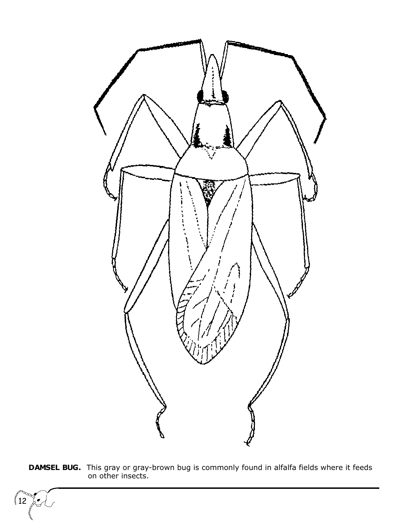

**DAMSEL BUG.** This gray or gray-brown bug is commonly found in alfalfa fields where it feeds on other insects.

 $\left\langle 12 \right\rangle$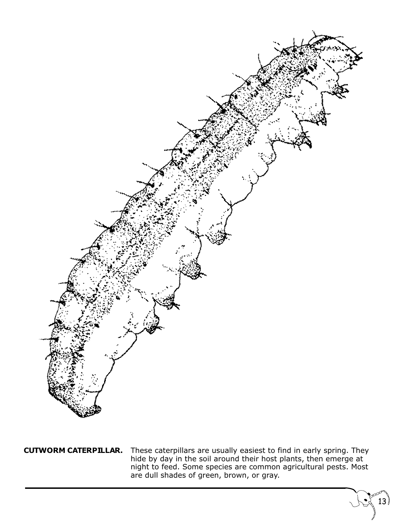

**CUTWORM CATERPILLAR.** These caterpillars are usually easiest to find in early spring. They hide by day in the soil around their host plants, then emerge at night to feed. Some species are common agricultural pests. Most are dull shades of green, brown, or gray.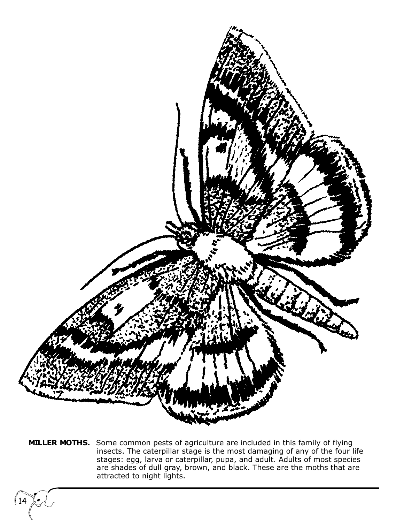

**MILLER MOTHS.** Some common pests of agriculture are included in this family of flying insects. The caterpillar stage is the most damaging of any of the four life stages: egg, larva or caterpillar, pupa, and adult. Adults of most species are shades of dull gray, brown, and black. These are the moths that are attracted to night lights.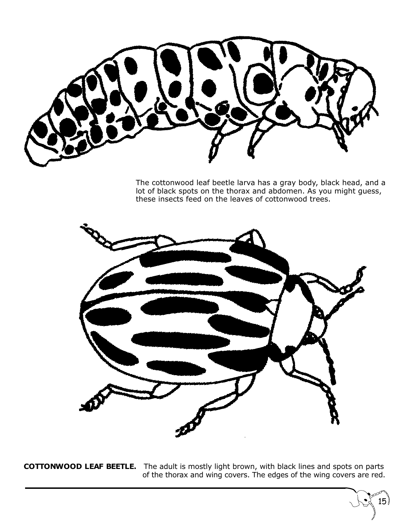

The cottonwood leaf beetle larva has a gray body, black head, and a lot of black spots on the thorax and abdomen. As you might guess, these insects feed on the leaves of cottonwood trees.

15



**COTTONWOOD LEAF BEETLE.** The adult is mostly light brown, with black lines and spots on parts of the thorax and wing covers. The edges of the wing covers are red.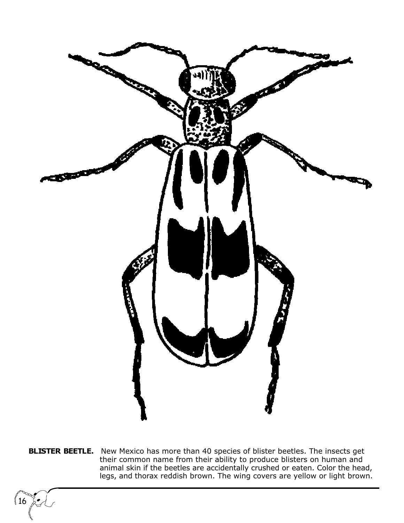

**BLISTER BEETLE.** New Mexico has more than 40 species of blister beetles. The insects get their common name from their ability to produce blisters on human and animal skin if the beetles are accidentally crushed or eaten. Color the head, legs, and thorax reddish brown. The wing covers are yellow or light brown.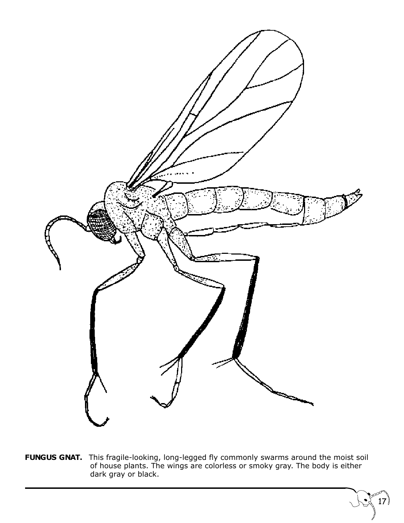

**FUNGUS GNAT.** This fragile-looking, long-legged fly commonly swarms around the moist soil of house plants. The wings are colorless or smoky gray. The body is either dark gray or black.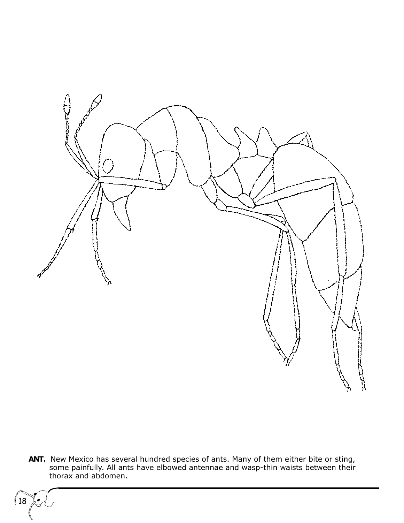

**ANT.** New Mexico has several hundred species of ants. Many of them either bite or sting, some painfully. All ants have elbowed antennae and wasp-thin waists between their thorax and abdomen.

 $(18)$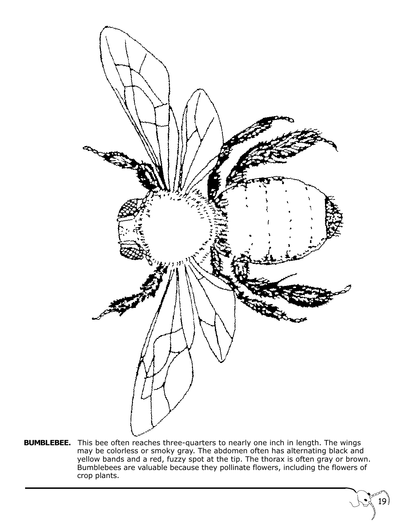

**BUMBLEBEE.** This bee often reaches three-quarters to nearly one inch in length. The wings may be colorless or smoky gray. The abdomen often has alternating black and yellow bands and a red, fuzzy spot at the tip. The thorax is often gray or brown. Bumblebees are valuable because they pollinate flowers, including the flowers of crop plants.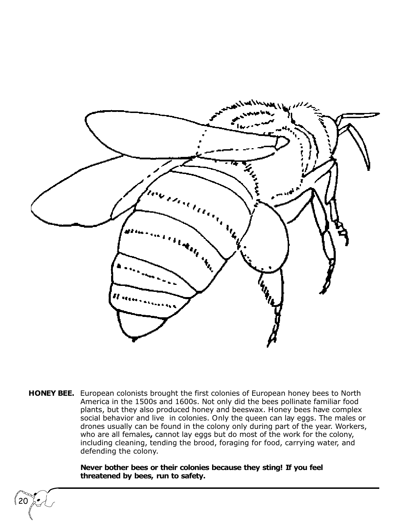

**HONEY BEE.** European colonists brought the first colonies of European honey bees to North America in the 1500s and 1600s. Not only did the bees pollinate familiar food plants, but they also produced honey and beeswax. Honey bees have complex social behavior and live in colonies. Only the queen can lay eggs. The males or drones usually can be found in the colony only during part of the year. Workers, who are all females**,** cannot lay eggs but do most of the work for the colony, including cleaning, tending the brood, foraging for food, carrying water, and defending the colony.

> **Never bother bees or their colonies because they sting! If you feel threatened by bees, run to safety.**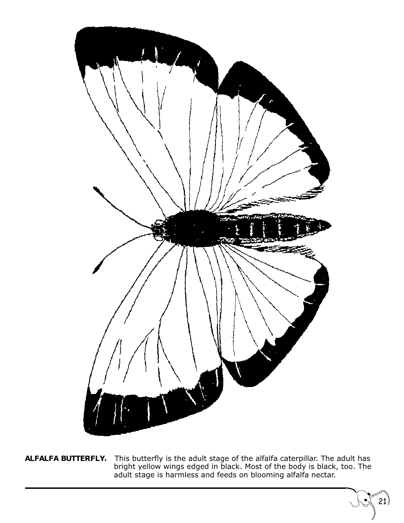

**ALFALFA BUTTERFLY.** This butterfly is the adult stage of the alfalfa caterpillar. The adult has bright yellow wings edged in black. Most of the body is black, too. The adult stage is harmless and feeds on blooming alfalfa nectar.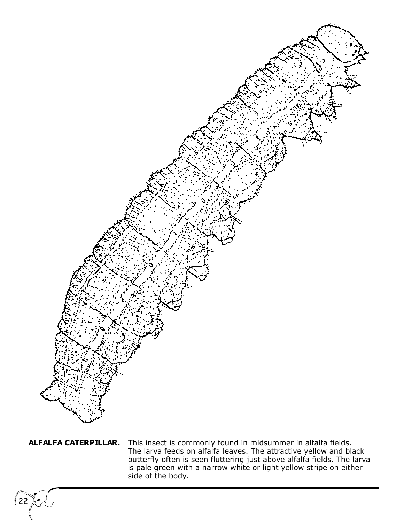

22

**ALFALFA CATERPILLAR.** This insect is commonly found in midsummer in alfalfa fields. The larva feeds on alfalfa leaves. The attractive yellow and black butterfly often is seen fluttering just above alfalfa fields. The larva is pale green with a narrow white or light yellow stripe on either side of the body.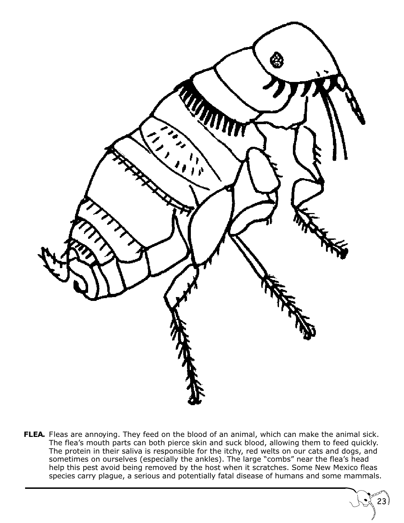

FLEA. Fleas are annoying. They feed on the blood of an animal, which can make the animal sick. The flea's mouth parts can both pierce skin and suck blood, allowing them to feed quickly. The protein in their saliva is responsible for the itchy, red welts on our cats and dogs, and sometimes on ourselves (especially the ankles). The large "combs" near the flea's head help this pest avoid being removed by the host when it scratches. Some New Mexico fleas species carry plague, a serious and potentially fatal disease of humans and some mammals.

23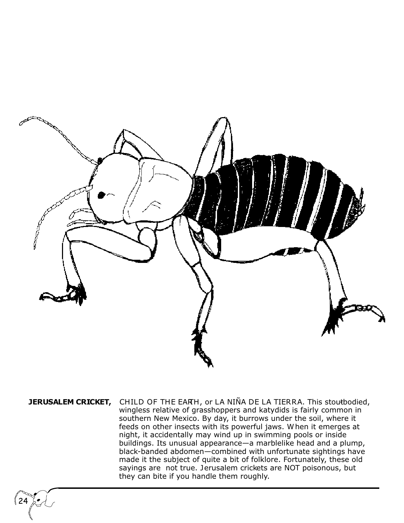

**JERUSALEM CRICKET,** CHILD OF THE EARH, or LA NIÑA DE LA TIERRA. This stoutbodied, wingless relative of grasshoppers and katydids is fairly common in southern New Mexico. By day, it burrows under the soil, where it feeds on other insects with its powerful jaws. W hen it emerges at night, it accidentally may wind up in swimming pools or inside buildings. Its unusual appearance—a marblelike head and a plump, black-banded abdomen—combined with unfortunate sightings have made it the subject of quite a bit of folklore. Fortunately, these old sayings are not true. Jerusalem crickets are NOT poisonous, but they can bite if you handle them roughly.

24